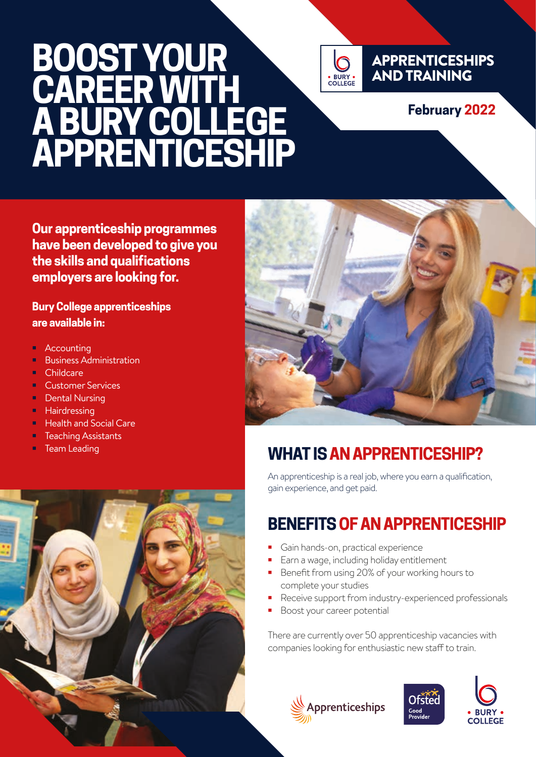# **BOOST YOUR CAREER WITH A BURY COLLEGE APPRENTICESHIP**



#### APPRENTICESHIPS AND TRAINING

#### **February 2022**

**Our apprenticeship programmes have been developed to give you the skills and qualifications employers are looking for.**

**Bury College apprenticeships are available in:**

- **•** Accounting
- **•** Business Administration
- **•** Childcare
- **•** Customer Services
- **•** Dental Nursing
- **•** Hairdressing
- **•** Health and Social Care
- **•** Teaching Assistants
- **•** Team Leading





## **WHAT IS AN APPRENTICESHIP?**

An apprenticeship is a real job, where you earn a qualification, gain experience, and get paid.

## **BENEFITS OF AN APPRENTICESHIP**

- **•** Gain hands-on, practical experience
- **•** Earn a wage, including holiday entitlement
- **•** Benefit from using 20% of your working hours to complete your studies
- **•** Receive support from industry-experienced professionals
- **•** Boost your career potential

There are currently over 50 apprenticeship vacancies with companies looking for enthusiastic new staff to train.





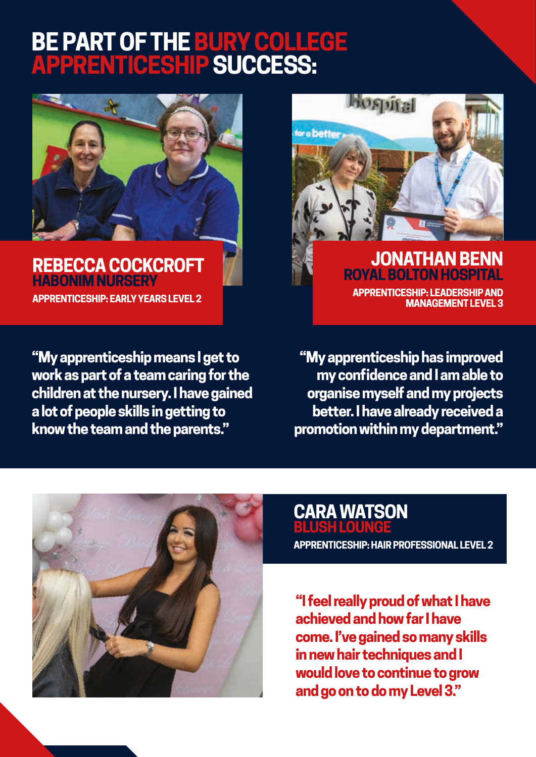## **BE PART OF THE BURY COLLEGE APPRENTICESHIP SUCCESS:**



**REBECCA COCKCROFT HABONIM NURSERY APPRENTICESHIP: EARLY YEARS LEVEL 2**

**"My apprenticeship means I get to work as part of a team caring for the children at the nursery. I have gained a lot of people skills in getting to know the team and the parents."**



**APPRENTICESHIP: LEADERSHIP AND MANAGEMENT LEVEL 3**

**"My apprenticeship has improved my confidence and I am able to organise myself and my projects better. I have already received a promotion within my department."**



#### **CARA WATSON BLUSH LOUNGE**

**APPRENTICESHIP: HAIR PROFESSIONAL LEVEL 2**

**"I feel really proud of what I have achieved and how far I have come. I've gained so many skills in new hair techniques and I would love to continue to grow and go on to do my Level 3."**